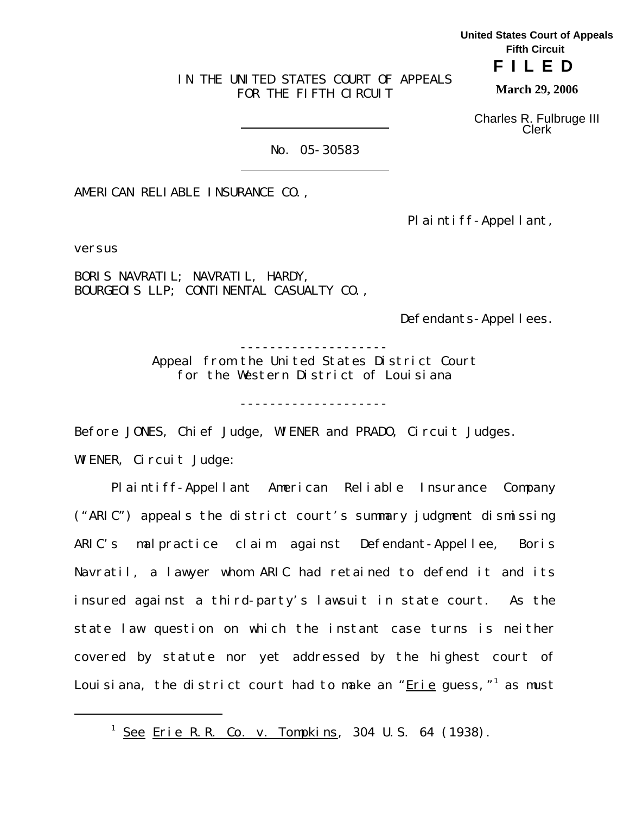IN THE UNITED STATES COURT OF APPEALS FOR THE FIFTH CIRCUIT

Charles R. Fulbruge III

**March 29, 2006**

**United States Court of Appeals Fifth Circuit FILED**

Clerk

No. 05-30583

AMERICAN RELIABLE INSURANCE CO.,

Plaintiff-Appellant,

versus

BORIS NAVRATIL; NAVRATIL, HARDY, BOURGEOIS LLP; CONTINENTAL CASUALTY CO.,

Defendants-Appellees.

-------------------- Appeal from the United States District Court

for the Western District of Louisiana

--------------------

Before JONES, Chief Judge, WIENER and PRADO, Circuit Judges.

WIENER, Circuit Judge:

Plaintiff-Appellant American Reliable Insurance Company ("ARIC") appeals the district court's summary judgment dismissing ARIC's malpractice claim against Defendant-Appellee, Boris Navratil, a lawyer whom ARIC had retained to defend it and its insured against a third-party's lawsuit in state court. As the state law question on which the instant case turns is neither covered by statute nor yet addressed by the highest court of Louisiana, the district court had to make an "<u>Erie</u> guess,"<sup>1</sup> as must

<sup>&</sup>lt;sup>1</sup> <u>See Erie R.R. Co. v. Tompkins</u>, 304 U.S. 64 (1938).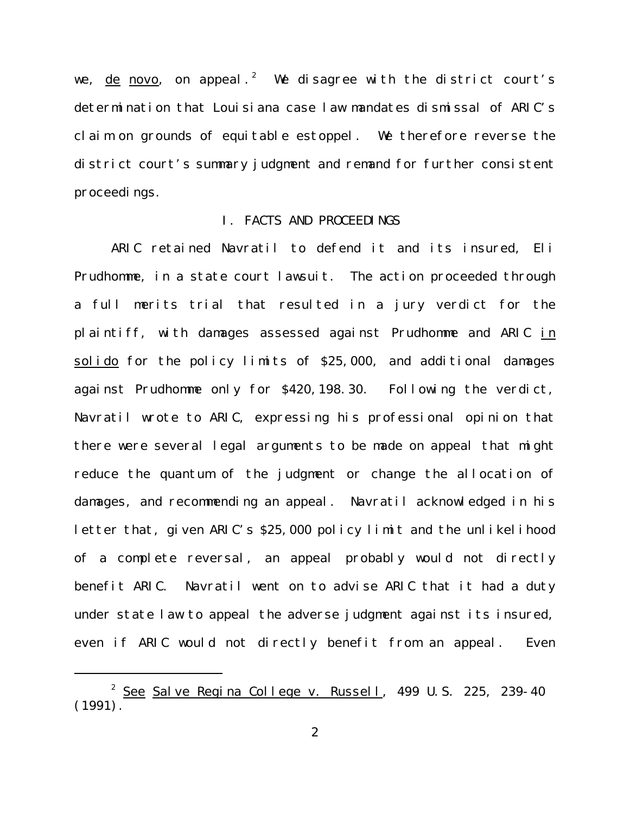we, <u>de novo</u>, on appeal. $^2$  We disagree with the district court's determination that Louisiana case law mandates dismissal of ARIC's claim on grounds of equitable estoppel. We therefore reverse the district court's summary judgment and remand for further consistent proceedings.

### I. FACTS AND PROCEEDINGS

ARIC retained Navratil to defend it and its insured, Eli Prudhomme, in a state court lawsuit. The action proceeded through a full merits trial that resulted in a jury verdict for the plaintiff, with damages assessed against Prudhomme and ARIC in solido for the policy limits of \$25,000, and additional damages against Prudhomme only for \$420,198.30. Following the verdict, Navratil wrote to ARIC, expressing his professional opinion that there were several legal arguments to be made on appeal that might reduce the quantum of the judgment or change the allocation of damages, and recommending an appeal. Navratil acknowledged in his letter that, given ARIC's \$25,000 policy limit and the unlikelihood of a complete reversal, an appeal probably would not directly benefit ARIC. Navratil went on to advise ARIC that it had a duty under state law to appeal the adverse judgment against its insured, even if ARIC would not directly benefit from an appeal. Even

<sup>&</sup>lt;sup>2</sup> See Salve Regina College v. Russell, 499 U.S. 225, 239-40 (1991).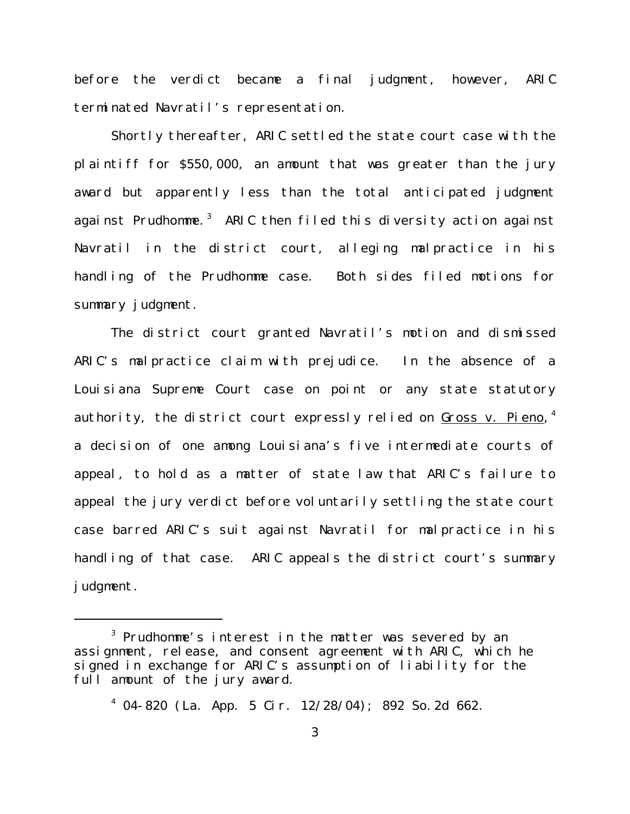before the verdict became a final judgment, however, ARIC terminated Navratil's representation.

Shortly thereafter, ARIC settled the state court case with the plaintiff for \$550,000, an amount that was greater than the jury award but apparently less than the total anticipated judgment against Prudhomme. $^3$  ARIC then filed this diversity action against Navratil in the district court, alleging malpractice in his handling of the Prudhomme case. Both sides filed motions for summary judgment.

The district court granted Navratil's motion and dismissed ARIC's malpractice claim with prejudice. In the absence of a Louisiana Supreme Court case on point or any state statutory authority, the district court expressly relied on <u>Gross v. Pieno</u>,<sup>4</sup> a decision of one among Louisiana's five intermediate courts of appeal, to hold as a matter of state law that ARIC's failure to appeal the jury verdict before voluntarily settling the state court case barred ARIC's suit against Navratil for malpractice in his handling of that case. ARIC appeals the district court's summary judgment.

 $^3$  Prudhomme's interest in the matter was severed by an assignment, release, and consent agreement with ARIC, which he signed in exchange for ARIC's assumption of liability for the full amount of the jury award.

<sup>4</sup> 04-820 (La. App. 5 Cir. 12/28/04); 892 So.2d 662.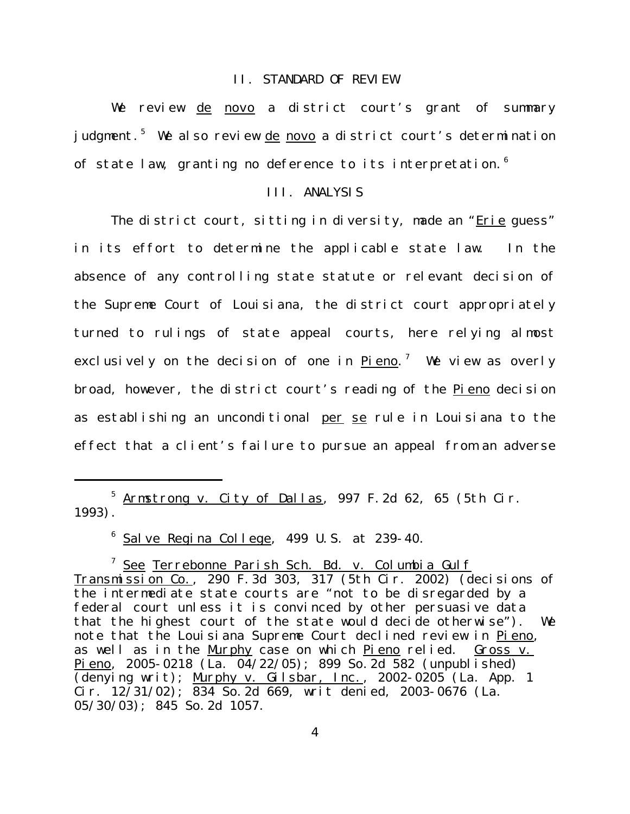#### II. STANDARD OF REVIEW

We review de novo a district court's grant of summary judgment.<sup>5</sup> We also review <u>de novo</u> a district court's determination of state law, granting no deference to its interpretation.<sup>6</sup>

# III. ANALYSIS

The district court, sitting in diversity, made an "Erie quess" in its effort to determine the applicable state law. In the absence of any controlling state statute or relevant decision of the Supreme Court of Louisiana, the district court appropriately turned to rulings of state appeal courts, here relying almost exclusively on the decision of one in <u>Pieno</u>.' We view as overly broad, however, the district court's reading of the Pieno decision as establishing an unconditional per se rule in Louisiana to the effect that a client's failure to pursue an appeal from an adverse

 $^5$  <u>Armstrong v. City of Dallas</u>, 997 F.2d 62, 65 (5th Cir. 1993).

 $^6$  <u>Salve Regina College</u>, 499 U.S. at 239-40.

<sup>7</sup> <u>See Terrebonne Parish Sch. Bd. v. Columbia Gulf</u> Transmission Co., 290 F.3d 303, 317 (5th Cir. 2002) (decisions of the intermediate state courts are "not to be disregarded by a federal court unless it is convinced by other persuasive data that the highest court of the state would decide otherwise"). We note that the Louisiana Supreme Court declined review in Pieno, as well as in the Murphy case on which Pieno relied. Gross v. Pieno, 2005-0218 (La. 04/22/05); 899 So.2d 582 (unpublished) (denying writ); Murphy v. Gilsbar, Inc., 2002-0205 (La. App. 1 Cir. 12/31/02); 834 So.2d 669, writ denied, 2003-0676 (La. 05/30/03); 845 So.2d 1057.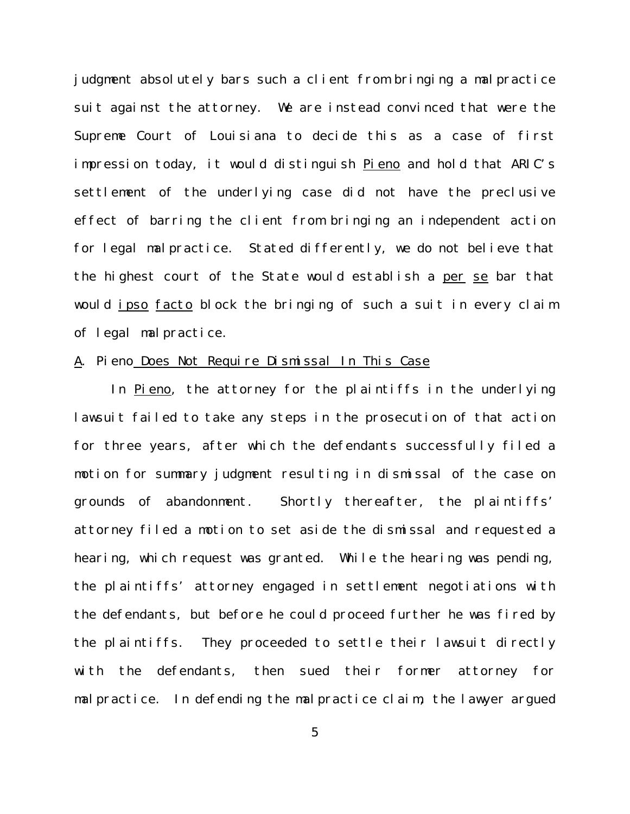judgment absolutely bars such a client from bringing a malpractice suit against the attorney. We are instead convinced that were the Supreme Court of Louisiana to decide this as a case of first impression today, it would distinguish Pieno and hold that ARIC's settlement of the underlying case did not have the preclusive effect of barring the client from bringing an independent action for legal malpractice. Stated differently, we do not believe that the highest court of the State would establish a per se bar that would ipso facto block the bringing of such a suit in every claim of legal malpractice.

### A. Pieno Does Not Require Dismissal In This Case

In Pieno, the attorney for the plaintiffs in the underlying lawsuit failed to take any steps in the prosecution of that action for three years, after which the defendants successfully filed a motion for summary judgment resulting in dismissal of the case on grounds of abandonment. Shortly thereafter, the plaintiffs' attorney filed a motion to set aside the dismissal and requested a hearing, which request was granted. While the hearing was pending, the plaintiffs' attorney engaged in settlement negotiations with the defendants, but before he could proceed further he was fired by the plaintiffs. They proceeded to settle their lawsuit directly with the defendants, then sued their former attorney for malpractice. In defending the malpractice claim, the lawyer argued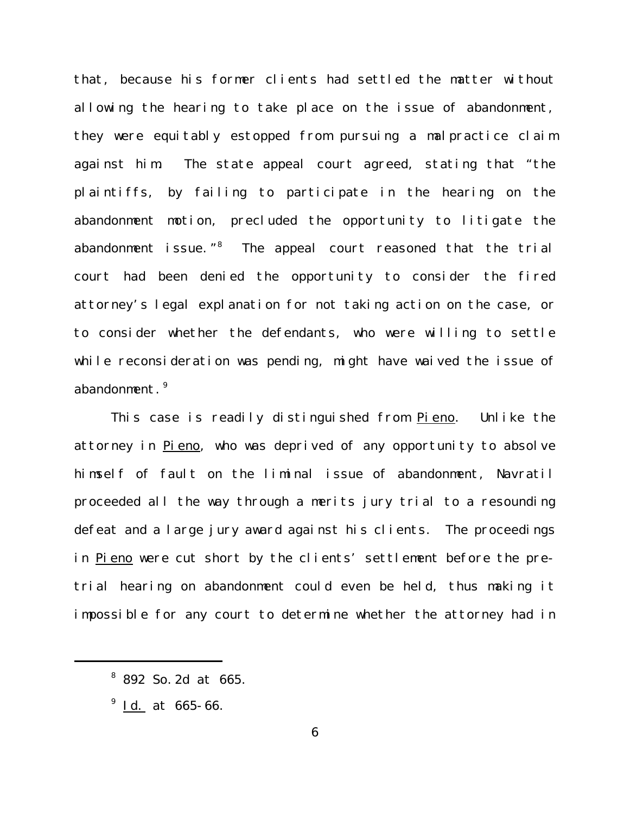that, because his former clients had settled the matter without allowing the hearing to take place on the issue of abandonment, they were equitably estopped from pursuing a malpractice claim against him. The state appeal court agreed, stating that "the plaintiffs, by failing to participate in the hearing on the abandonment motion, precluded the opportunity to litigate the abandonment issue."<sup>8</sup> The appeal court reasoned that the trial court had been denied the opportunity to consider the fired attorney's legal explanation for not taking action on the case, or to consider whether the defendants, who were willing to settle while reconsideration was pending, might have waived the issue of abandonment.<sup>9</sup>

This case is readily distinguished from **Pieno**. Unlike the attorney in Pieno, who was deprived of any opportunity to absolve himself of fault on the liminal issue of abandonment, Navratil proceeded all the way through a merits jury trial to a resounding defeat and a large jury award against his clients. The proceedings in Pieno were cut short by the clients' settlement before the pretrial hearing on abandonment could even be held, thus making it impossible for any court to determine whether the attorney had in

<sup>&</sup>lt;sup>8</sup> 892 So. 2d at 665.

<sup>&</sup>lt;sup>9</sup> <u>Id.</u> at 665-66.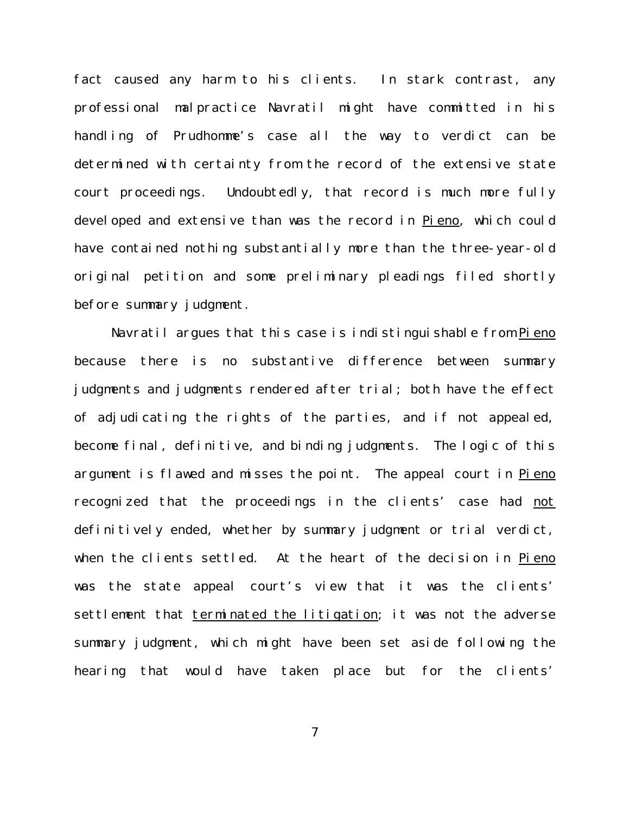fact caused any harm to his clients. In stark contrast, any professional malpractice Navratil might have committed in his handling of Prudhomme's case all the way to verdict can be determined with certainty from the record of the extensive state court proceedings. Undoubtedly, that record is much more fully developed and extensive than was the record in Pieno, which could have contained nothing substantially more than the three-year-old original petition and some preliminary pleadings filed shortly before summary judgment.

Navratil argues that this case is indistinguishable from Pieno because there is no substantive difference between summary judgments and judgments rendered after trial; both have the effect of adjudicating the rights of the parties, and if not appealed, become final, definitive, and binding judgments. The logic of this argument is flawed and misses the point. The appeal court in Pieno recognized that the proceedings in the clients' case had not definitively ended, whether by summary judgment or trial verdict, when the clients settled. At the heart of the decision in Pieno was the state appeal court's view that it was the clients' settlement that terminated the litigation; it was not the adverse summary judgment, which might have been set aside following the hearing that would have taken place but for the clients'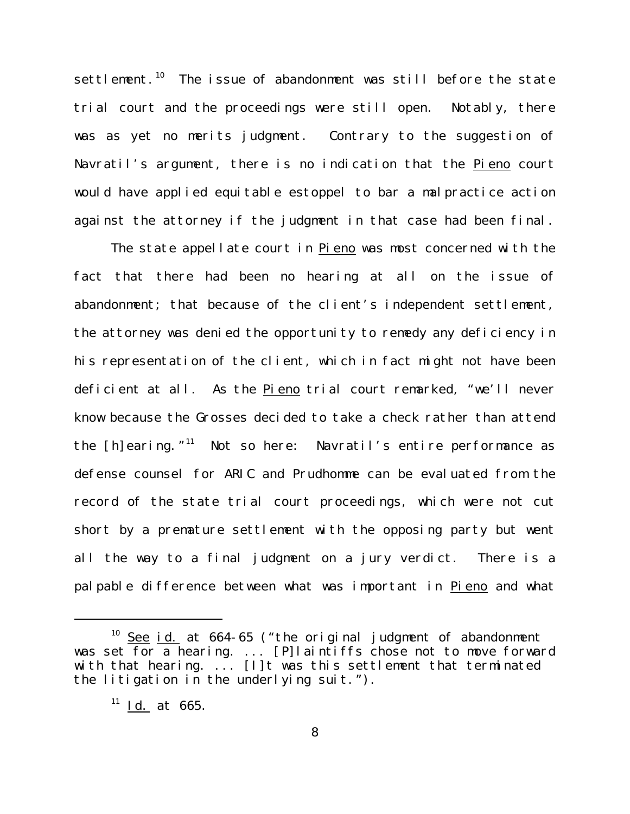settlement.<sup>10</sup> The issue of abandonment was still before the state trial court and the proceedings were still open. Notably, there was as yet no merits judgment. Contrary to the suggestion of Navratil's argument, there is no indication that the Pieno court would have applied equitable estoppel to bar a malpractice action against the attorney if the judgment in that case had been final.

The state appellate court in Pieno was most concerned with the fact that there had been no hearing at all on the issue of abandonment; that because of the client's independent settlement, the attorney was denied the opportunity to remedy any deficiency in his representation of the client, which in fact might not have been deficient at all. As the Pieno trial court remarked, "we'll never know because the Grosses decided to take a check rather than attend the [h]earing."<sup>11</sup> Not so here: Navratil's entire performance as defense counsel for ARIC and Prudhomme can be evaluated from the record of the state trial court proceedings, which were not cut short by a premature settlement with the opposing party but went all the way to a final judgment on a jury verdict. There is a palpable difference between what was important in Pieno and what

 $10$  See id. at 664-65 ("the original judgment of abandonment was set for a hearing. ... [P]laintiffs chose not to move forward with that hearing. ... [I]t was this settlement that terminated the litigation in the underlying suit.").

 $11$  Id. at 665.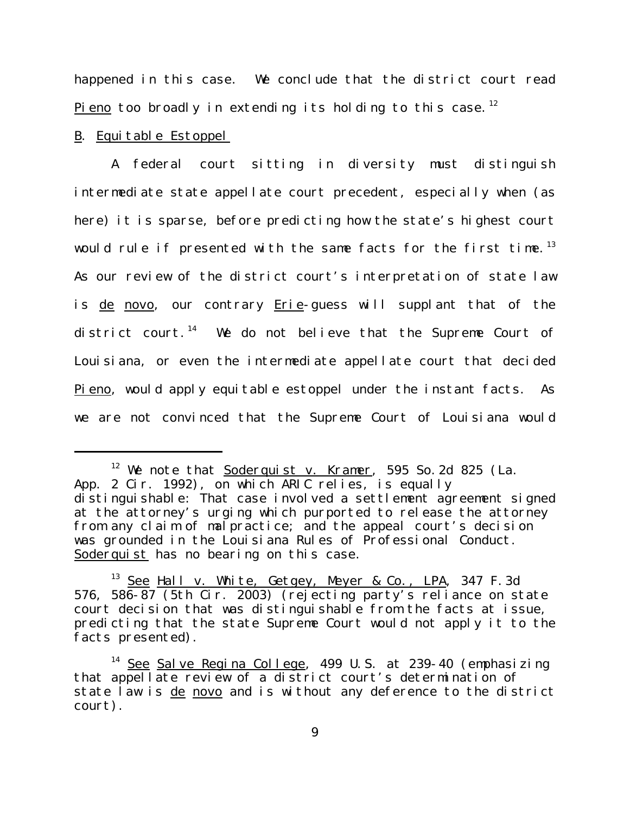happened in this case. We conclude that the district court read <u>Pieno</u> too broadly in extending its holding to this case.<sup>12</sup>

## B. Equitable Estoppel

A federal court sitting in diversity must distinguish intermediate state appellate court precedent, especially when (as here) it is sparse, before predicting how the state's highest court would rule if presented with the same facts for the first time.<sup>13</sup> As our review of the district court's interpretation of state law is de novo, our contrary Erie-guess will supplant that of the district court.<sup>14</sup> We do not believe that the Supreme Court of Louisiana, or even the intermediate appellate court that decided Pieno, would apply equitable estoppel under the instant facts. As we are not convinced that the Supreme Court of Louisiana would

 $12$  We note that Soderquist v. Kramer, 595 So. 2d 825 (La. App. 2 Cir. 1992), on which ARIC relies, is equally distinguishable: That case involved a settlement agreement signed at the attorney's urging which purported to release the attorney from any claim of malpractice; and the appeal court's decision was grounded in the Louisiana Rules of Professional Conduct. Soderquist has no bearing on this case.

<sup>&</sup>lt;sup>13</sup> See Hall v. White, Getgey, Meyer & Co., LPA, 347 F.3d 576, 586-87 (5th Cir. 2003) (rejecting party's reliance on state court decision that was distinguishable from the facts at issue, predicting that the state Supreme Court would not apply it to the facts presented).

<sup>&</sup>lt;sup>14</sup> See Salve Regina College, 499 U.S. at 239-40 (emphasizing that appellate review of a district court's determination of state law is de novo and is without any deference to the district court).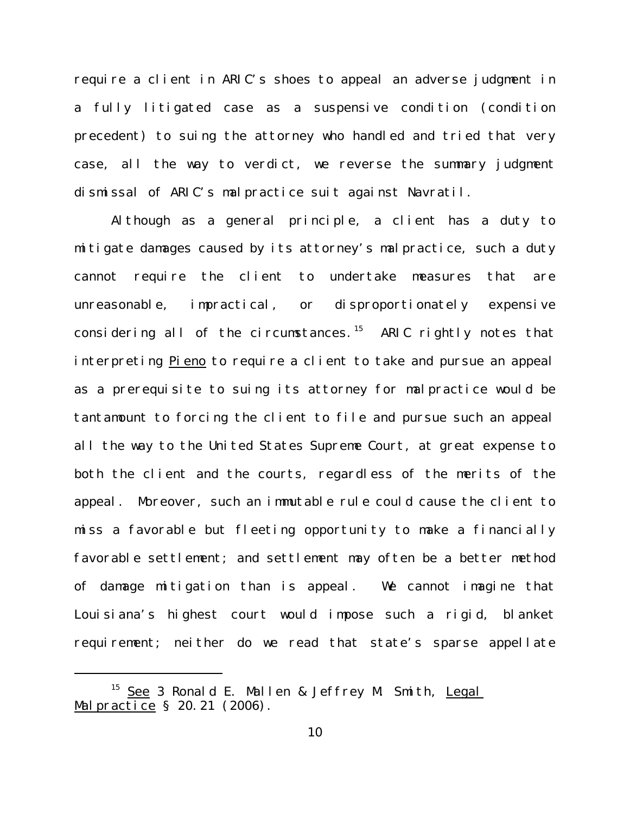require a client in ARIC's shoes to appeal an adverse judgment in a fully litigated case as a suspensive condition (condition precedent) to suing the attorney who handled and tried that very case, all the way to verdict, we reverse the summary judgment dismissal of ARIC's malpractice suit against Navratil.

Although as a general principle, a client has a duty to mitigate damages caused by its attorney's malpractice, such a duty cannot require the client to undertake measures that are unreasonable, impractical, or disproportionately expensive considering all of the circumstances.<sup>15</sup> ARIC rightly notes that interpreting Pieno to require a client to take and pursue an appeal as a prerequisite to suing its attorney for malpractice would be tantamount to forcing the client to file and pursue such an appeal all the way to the United States Supreme Court, at great expense to both the client and the courts, regardless of the merits of the appeal. Moreover, such an immutable rule could cause the client to miss a favorable but fleeting opportunity to make a financially favorable settlement; and settlement may often be a better method of damage mitigation than is appeal. We cannot imagine that Louisiana's highest court would impose such a rigid, blanket requirement; neither do we read that state's sparse appellate

<sup>&</sup>lt;sup>15</sup> See 3 Ronald E. Mallen & Jeffrey M. Smith, Legal Malpractice § 20.21 (2006).